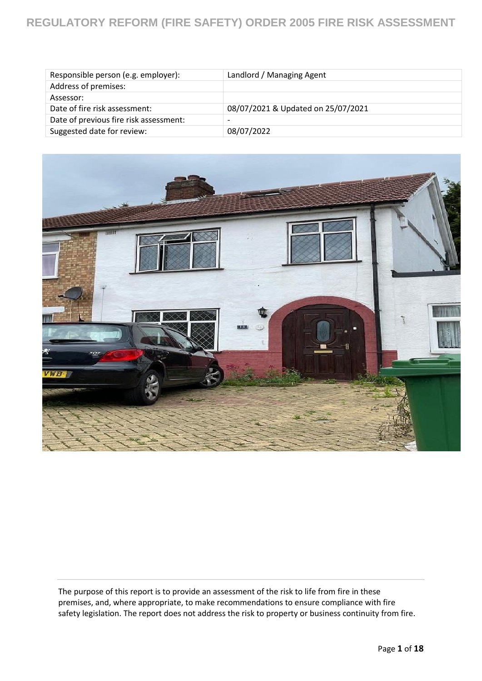| Responsible person (e.g. employer):    | Landlord / Managing Agent          |
|----------------------------------------|------------------------------------|
| Address of premises:                   |                                    |
| Assessor:                              |                                    |
| Date of fire risk assessment:          | 08/07/2021 & Updated on 25/07/2021 |
| Date of previous fire risk assessment: | $\overline{\phantom{0}}$           |
| Suggested date for review:             | 08/07/2022                         |



The purpose of this report is to provide an assessment of the risk to life from fire in these premises, and, where appropriate, to make recommendations to ensure compliance with fire safety legislation. The report does not address the risk to property or business continuity from fire.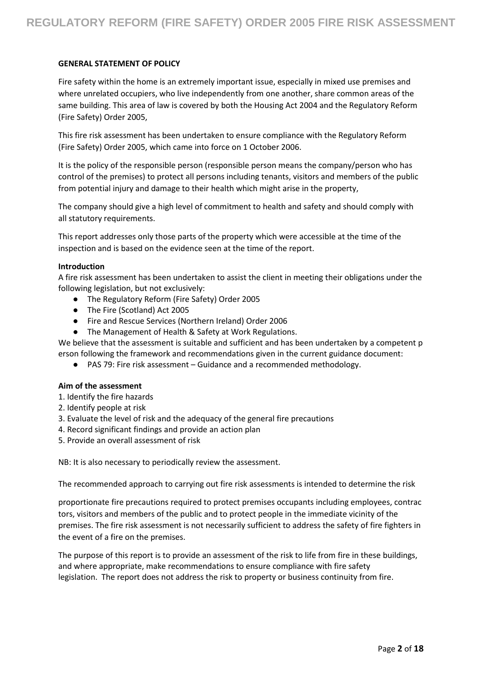## **GENERAL STATEMENT OF POLICY**

Fire safety within the home is an extremely important issue, especially in mixed use premises and where unrelated occupiers, who live independently from one another, share common areas of the same building. This area of law is covered by both the Housing Act 2004 and the Regulatory Reform (Fire Safety) Order 2005,

This fire risk assessment has been undertaken to ensure compliance with the Regulatory Reform (Fire Safety) Order 2005, which came into force on 1 October 2006.

It is the policy of the responsible person (responsible person means the company/person who has control of the premises) to protect all persons including tenants, visitors and members of the public from potential injury and damage to their health which might arise in the property,

The company should give a high level of commitment to health and safety and should comply with all statutory requirements.

This report addresses only those parts of the property which were accessible at the time of the inspection and is based on the evidence seen at the time of the report.

#### **Introduction**

A fire risk assessment has been undertaken to assist the client in meeting their obligations under the following legislation, but not exclusively:

- The Regulatory Reform (Fire Safety) Order 2005
- The Fire (Scotland) Act 2005
- Fire and Rescue Services (Northern Ireland) Order 2006
- The Management of Health & Safety at Work Regulations.

We believe that the assessment is suitable and sufficient and has been undertaken by a competent p erson following the framework and recommendations given in the current guidance document:

● PAS 79: Fire risk assessment – Guidance and a recommended methodology.

## **Aim of the assessment**

- 1. Identify the fire hazards
- 2. Identify people at risk
- 3. Evaluate the level of risk and the adequacy of the general fire precautions
- 4. Record significant findings and provide an action plan
- 5. Provide an overall assessment of risk

NB: It is also necessary to periodically review the assessment.

The recommended approach to carrying out fire risk assessments is intended to determine the risk

proportionate fire precautions required to protect premises occupants including employees, contrac tors, visitors and members of the public and to protect people in the immediate vicinity of the premises. The fire risk assessment is not necessarily sufficient to address the safety of fire fighters in the event of a fire on the premises.

The purpose of this report is to provide an assessment of the risk to life from fire in these buildings, and where appropriate, make recommendations to ensure compliance with fire safety legislation. The report does not address the risk to property or business continuity from fire.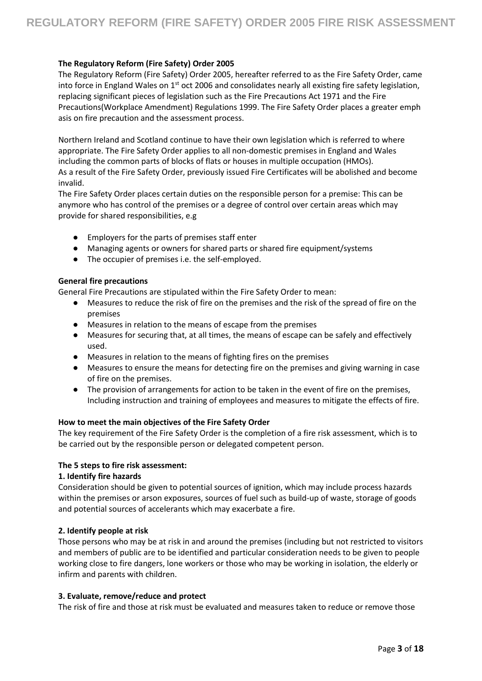## **The Regulatory Reform (Fire Safety) Order 2005**

The Regulatory Reform (Fire Safety) Order 2005, hereafter referred to as the Fire Safety Order, came into force in England Wales on  $1<sup>st</sup>$  oct 2006 and consolidates nearly all existing fire safety legislation, replacing significant pieces of legislation such as the Fire Precautions Act 1971 and the Fire Precautions(Workplace Amendment) Regulations 1999. The Fire Safety Order places a greater emph asis on fire precaution and the assessment process.

Northern Ireland and Scotland continue to have their own legislation which is referred to where appropriate. The Fire Safety Order applies to all non-domestic premises in England and Wales including the common parts of blocks of flats or houses in multiple occupation (HMOs). As a result of the Fire Safety Order, previously issued Fire Certificates will be abolished and become invalid.

The Fire Safety Order places certain duties on the responsible person for a premise: This can be anymore who has control of the premises or a degree of control over certain areas which may provide for shared responsibilities, e.g

- Employers for the parts of premises staff enter
- Managing agents or owners for shared parts or shared fire equipment/systems
- The occupier of premises i.e. the self-employed.

## **General fire precautions**

General Fire Precautions are stipulated within the Fire Safety Order to mean:

- Measures to reduce the risk of fire on the premises and the risk of the spread of fire on the premises
- Measures in relation to the means of escape from the premises
- Measures for securing that, at all times, the means of escape can be safely and effectively used.
- Measures in relation to the means of fighting fires on the premises
- Measures to ensure the means for detecting fire on the premises and giving warning in case of fire on the premises.
- The provision of arrangements for action to be taken in the event of fire on the premises, Including instruction and training of employees and measures to mitigate the effects of fire.

## **How to meet the main objectives of the Fire Safety Order**

The key requirement of the Fire Safety Order is the completion of a fire risk assessment, which is to be carried out by the responsible person or delegated competent person.

## **The 5 steps to fire risk assessment:**

#### **1. Identify fire hazards**

Consideration should be given to potential sources of ignition, which may include process hazards within the premises or arson exposures, sources of fuel such as build-up of waste, storage of goods and potential sources of accelerants which may exacerbate a fire.

## **2. Identify people at risk**

Those persons who may be at risk in and around the premises (including but not restricted to visitors and members of public are to be identified and particular consideration needs to be given to people working close to fire dangers, lone workers or those who may be working in isolation, the elderly or infirm and parents with children.

## **3. Evaluate, remove/reduce and protect**

The risk of fire and those at risk must be evaluated and measures taken to reduce or remove those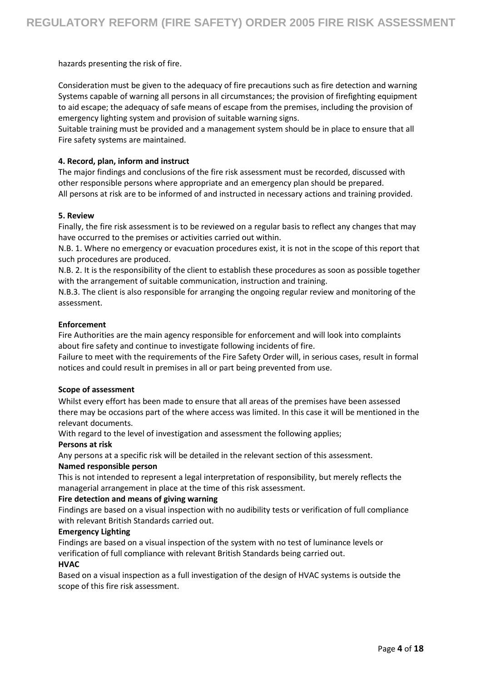hazards presenting the risk of fire.

Consideration must be given to the adequacy of fire precautions such as fire detection and warning Systems capable of warning all persons in all circumstances; the provision of firefighting equipment to aid escape; the adequacy of safe means of escape from the premises, including the provision of emergency lighting system and provision of suitable warning signs.

Suitable training must be provided and a management system should be in place to ensure that all Fire safety systems are maintained.

## **4. Record, plan, inform and instruct**

The major findings and conclusions of the fire risk assessment must be recorded, discussed with other responsible persons where appropriate and an emergency plan should be prepared. All persons at risk are to be informed of and instructed in necessary actions and training provided.

#### **5. Review**

Finally, the fire risk assessment is to be reviewed on a regular basis to reflect any changes that may have occurred to the premises or activities carried out within.

N.B. 1. Where no emergency or evacuation procedures exist, it is not in the scope of this report that such procedures are produced.

N.B. 2. It is the responsibility of the client to establish these procedures as soon as possible together with the arrangement of suitable communication, instruction and training.

N.B.3. The client is also responsible for arranging the ongoing regular review and monitoring of the assessment.

## **Enforcement**

Fire Authorities are the main agency responsible for enforcement and will look into complaints about fire safety and continue to investigate following incidents of fire.

Failure to meet with the requirements of the Fire Safety Order will, in serious cases, result in formal notices and could result in premises in all or part being prevented from use.

## **Scope of assessment**

Whilst every effort has been made to ensure that all areas of the premises have been assessed there may be occasions part of the where access was limited. In this case it will be mentioned in the relevant documents.

With regard to the level of investigation and assessment the following applies;

#### **Persons at risk**

Any persons at a specific risk will be detailed in the relevant section of this assessment.

#### **Named responsible person**

This is not intended to represent a legal interpretation of responsibility, but merely reflects the managerial arrangement in place at the time of this risk assessment.

## **Fire detection and means of giving warning**

Findings are based on a visual inspection with no audibility tests or verification of full compliance with relevant British Standards carried out.

## **Emergency Lighting**

Findings are based on a visual inspection of the system with no test of luminance levels or verification of full compliance with relevant British Standards being carried out.

#### **HVAC**

Based on a visual inspection as a full investigation of the design of HVAC systems is outside the scope of this fire risk assessment.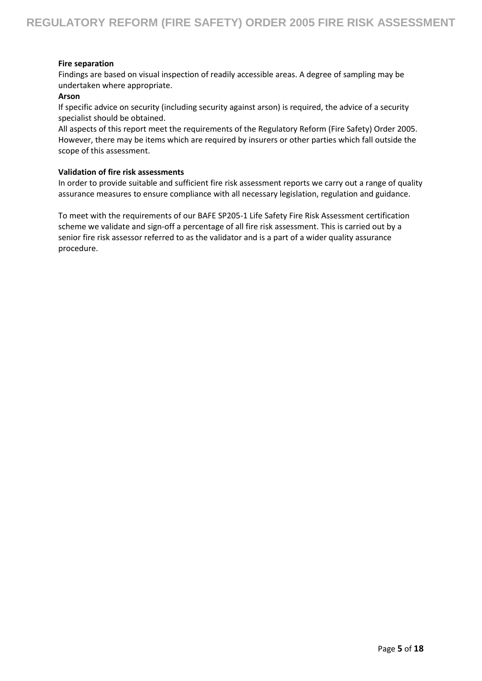## **Fire separation**

Findings are based on visual inspection of readily accessible areas. A degree of sampling may be undertaken where appropriate.

#### **Arson**

If specific advice on security (including security against arson) is required, the advice of a security specialist should be obtained.

All aspects of this report meet the requirements of the Regulatory Reform (Fire Safety) Order 2005. However, there may be items which are required by insurers or other parties which fall outside the scope of this assessment.

## **Validation of fire risk assessments**

In order to provide suitable and sufficient fire risk assessment reports we carry out a range of quality assurance measures to ensure compliance with all necessary legislation, regulation and guidance.

To meet with the requirements of our BAFE SP205-1 Life Safety Fire Risk Assessment certification scheme we validate and sign-off a percentage of all fire risk assessment. This is carried out by a senior fire risk assessor referred to as the validator and is a part of a wider quality assurance procedure.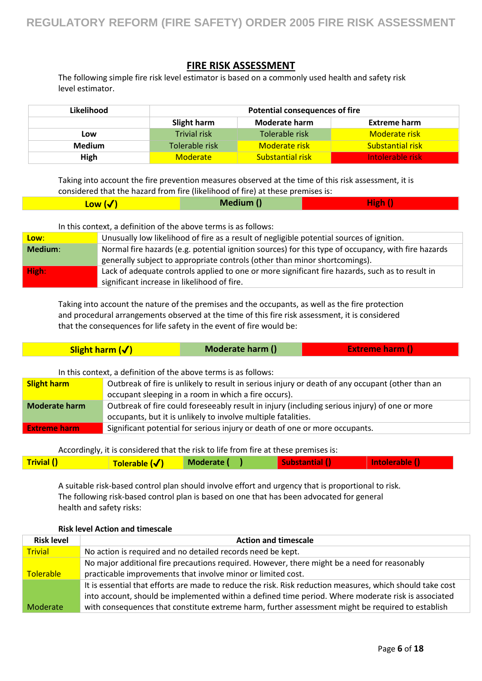## **FIRE RISK ASSESSMENT**

The following simple fire risk level estimator is based on a commonly used health and safety risk level estimator.

| Likelihood    | <b>Potential consequences of fire</b> |                         |                         |
|---------------|---------------------------------------|-------------------------|-------------------------|
|               | <b>Slight harm</b>                    | <b>Moderate harm</b>    | <b>Extreme harm</b>     |
| Low           | <b>Trivial risk</b>                   | Tolerable risk          | <b>Moderate risk</b>    |
| <b>Medium</b> | Tolerable risk                        | <b>Moderate risk</b>    | <b>Substantial risk</b> |
| High          | Moderate                              | <b>Substantial risk</b> | Intolerable risk        |

Taking into account the fire prevention measures observed at the time of this risk assessment, it is considered that the hazard from fire (likelihood of fire) at these premises is:

| Low $(\checkmark)$ | Medium () | High () |
|--------------------|-----------|---------|
|--------------------|-----------|---------|

#### In this context, a definition of the above terms is as follows:

| Low:    | Unusually low likelihood of fire as a result of negligible potential sources of ignition.           |  |
|---------|-----------------------------------------------------------------------------------------------------|--|
| Medium: | Normal fire hazards (e.g. potential ignition sources) for this type of occupancy, with fire hazards |  |
|         | generally subject to appropriate controls (other than minor shortcomings).                          |  |
| High:   | Lack of adequate controls applied to one or more significant fire hazards, such as to result in     |  |
|         | significant increase in likelihood of fire.                                                         |  |

Taking into account the nature of the premises and the occupants, as well as the fire protection and procedural arrangements observed at the time of this fire risk assessment, it is considered that the consequences for life safety in the event of fire would be:

| Slight harm $(\sqrt{})$ | Moderate harm () | <b>Extreme harm ()</b> |
|-------------------------|------------------|------------------------|
|                         |                  |                        |

#### In this context, a definition of the above terms is as follows:

| <b>Slight harm</b>   | Outbreak of fire is unlikely to result in serious injury or death of any occupant (other than an |  |  |
|----------------------|--------------------------------------------------------------------------------------------------|--|--|
|                      | occupant sleeping in a room in which a fire occurs).                                             |  |  |
| <b>Moderate harm</b> | Outbreak of fire could foreseeably result in injury (including serious injury) of one or more    |  |  |
|                      | occupants, but it is unlikely to involve multiple fatalities.                                    |  |  |
| <b>Extreme harm</b>  | Significant potential for serious injury or death of one or more occupants.                      |  |  |
|                      |                                                                                                  |  |  |

Accordingly, it is considered that the risk to life from fire at these premises is:

| Trivial ()<br>Intolerable ()<br><b>Substantial ()</b><br>Moderate (<br>Tolerable (√) |  |
|--------------------------------------------------------------------------------------|--|
|--------------------------------------------------------------------------------------|--|

A suitable risk-based control plan should involve effort and urgency that is proportional to risk. The following risk-based control plan is based on one that has been advocated for general health and safety risks:

#### **Risk level Action and timescale**

| <b>Risk level</b> | <b>Action and timescale</b>                                                                                                                                                                                      |  |
|-------------------|------------------------------------------------------------------------------------------------------------------------------------------------------------------------------------------------------------------|--|
| <b>Trivial</b>    | No action is required and no detailed records need be kept.                                                                                                                                                      |  |
| <b>Tolerable</b>  | No major additional fire precautions required. However, there might be a need for reasonably<br>practicable improvements that involve minor or limited cost.                                                     |  |
|                   | It is essential that efforts are made to reduce the risk. Risk reduction measures, which should take cost<br>into account, should be implemented within a defined time period. Where moderate risk is associated |  |
| Moderate          | with consequences that constitute extreme harm, further assessment might be required to establish                                                                                                                |  |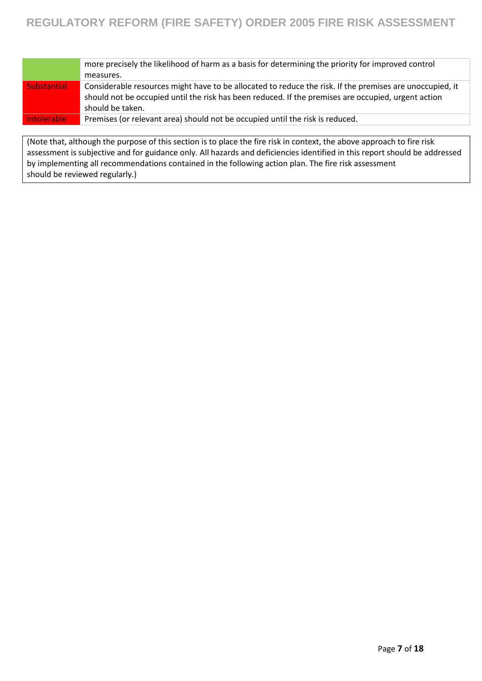|             | more precisely the likelihood of harm as a basis for determining the priority for improved control                                                                                                                                  |
|-------------|-------------------------------------------------------------------------------------------------------------------------------------------------------------------------------------------------------------------------------------|
|             | measures.                                                                                                                                                                                                                           |
| Substantial | Considerable resources might have to be allocated to reduce the risk. If the premises are unoccupied, it<br>should not be occupied until the risk has been reduced. If the premises are occupied, urgent action<br>should be taken. |
| Intolerable | Premises (or relevant area) should not be occupied until the risk is reduced.                                                                                                                                                       |

(Note that, although the purpose of this section is to place the fire risk in context, the above approach to fire risk assessment is subjective and for guidance only. All hazards and deficiencies identified in this report should be addressed by implementing all recommendations contained in the following action plan. The fire risk assessment should be reviewed regularly.)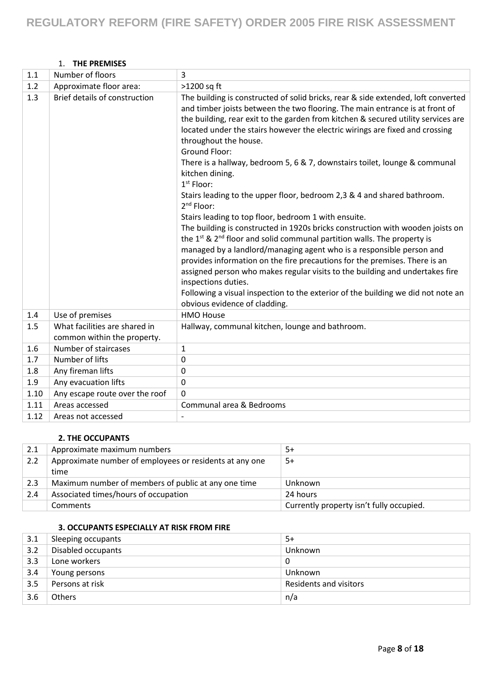## 1. **THE PREMISES**

| 1.1  | Number of floors                                             | 3                                                                                                                                                                                                                                                                                                                                                                                                         |
|------|--------------------------------------------------------------|-----------------------------------------------------------------------------------------------------------------------------------------------------------------------------------------------------------------------------------------------------------------------------------------------------------------------------------------------------------------------------------------------------------|
| 1.2  | Approximate floor area:                                      | >1200 sq ft                                                                                                                                                                                                                                                                                                                                                                                               |
| 1.3  | Brief details of construction                                | The building is constructed of solid bricks, rear & side extended, loft converted<br>and timber joists between the two flooring. The main entrance is at front of<br>the building, rear exit to the garden from kitchen & secured utility services are<br>located under the stairs however the electric wirings are fixed and crossing<br>throughout the house.<br><b>Ground Floor:</b>                   |
|      |                                                              | There is a hallway, bedroom 5, 6 & 7, downstairs toilet, lounge & communal<br>kitchen dining.<br>$1st$ Floor:                                                                                                                                                                                                                                                                                             |
|      |                                                              | Stairs leading to the upper floor, bedroom 2,3 & 4 and shared bathroom.<br>$2nd$ Floor:                                                                                                                                                                                                                                                                                                                   |
|      |                                                              | Stairs leading to top floor, bedroom 1 with ensuite.                                                                                                                                                                                                                                                                                                                                                      |
|      |                                                              | The building is constructed in 1920s bricks construction with wooden joists on<br>the $1^{st}$ & $2^{nd}$ floor and solid communal partition walls. The property is<br>managed by a landlord/managing agent who is a responsible person and<br>provides information on the fire precautions for the premises. There is an<br>assigned person who makes regular visits to the building and undertakes fire |
|      |                                                              | inspections duties.                                                                                                                                                                                                                                                                                                                                                                                       |
|      |                                                              | Following a visual inspection to the exterior of the building we did not note an<br>obvious evidence of cladding.                                                                                                                                                                                                                                                                                         |
| 1.4  | Use of premises                                              | <b>HMO House</b>                                                                                                                                                                                                                                                                                                                                                                                          |
| 1.5  | What facilities are shared in<br>common within the property. | Hallway, communal kitchen, lounge and bathroom.                                                                                                                                                                                                                                                                                                                                                           |
| 1.6  | Number of staircases                                         | $\mathbf{1}$                                                                                                                                                                                                                                                                                                                                                                                              |
| 1.7  | Number of lifts                                              | $\mathbf 0$                                                                                                                                                                                                                                                                                                                                                                                               |
| 1.8  | Any fireman lifts                                            | $\mathbf 0$                                                                                                                                                                                                                                                                                                                                                                                               |
| 1.9  | Any evacuation lifts                                         | $\boldsymbol{0}$                                                                                                                                                                                                                                                                                                                                                                                          |
| 1.10 | Any escape route over the roof                               | $\mathbf 0$                                                                                                                                                                                                                                                                                                                                                                                               |
| 1.11 | Areas accessed                                               | Communal area & Bedrooms                                                                                                                                                                                                                                                                                                                                                                                  |
| 1.12 | Areas not accessed                                           | $\overline{\phantom{a}}$                                                                                                                                                                                                                                                                                                                                                                                  |

## **2. THE OCCUPANTS**

| 2.1 | Approximate maximum numbers                                     | $5+$                                     |
|-----|-----------------------------------------------------------------|------------------------------------------|
| 2.2 | Approximate number of employees or residents at any one<br>time | 5+                                       |
| 2.3 | Maximum number of members of public at any one time             | Unknown                                  |
| 2.4 | Associated times/hours of occupation                            | 24 hours                                 |
|     | Comments                                                        | Currently property isn't fully occupied. |

## **3. OCCUPANTS ESPECIALLY AT RISK FROM FIRE**

| 3.1 | Sleeping occupants | $5+$                   |
|-----|--------------------|------------------------|
| 3.2 | Disabled occupants | Unknown                |
| 3.3 | Lone workers       | 0                      |
| 3.4 | Young persons      | Unknown                |
| 3.5 | Persons at risk    | Residents and visitors |
| 3.6 | <b>Others</b>      | n/a                    |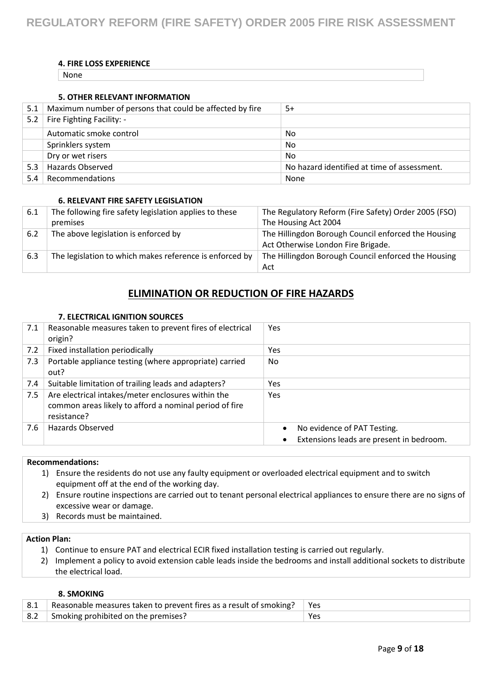#### **4. FIRE LOSS EXPERIENCE**

| None |  |
|------|--|
|------|--|

|     | <b>5. OTHER RELEVANT INFORMATION</b>                     |                                             |  |
|-----|----------------------------------------------------------|---------------------------------------------|--|
| 5.1 | Maximum number of persons that could be affected by fire | 5+                                          |  |
| 5.2 | Fire Fighting Facility: -                                |                                             |  |
|     | Automatic smoke control                                  | No                                          |  |
|     | Sprinklers system                                        | No                                          |  |
|     | Dry or wet risers                                        | N <sub>0</sub>                              |  |
| 5.3 | <b>Hazards Observed</b>                                  | No hazard identified at time of assessment. |  |
|     | Recommendations                                          | None                                        |  |

#### **6. RELEVANT FIRE SAFETY LEGISLATION**

| 6.1 | The following fire safety legislation applies to these  | The Regulatory Reform (Fire Safety) Order 2005 (FSO) |
|-----|---------------------------------------------------------|------------------------------------------------------|
|     | premises                                                | The Housing Act 2004                                 |
| 6.2 | The above legislation is enforced by                    | The Hillingdon Borough Council enforced the Housing  |
|     |                                                         | Act Otherwise London Fire Brigade.                   |
| 6.3 | The legislation to which makes reference is enforced by | The Hillingdon Borough Council enforced the Housing  |
|     |                                                         | Act                                                  |

# **ELIMINATION OR REDUCTION OF FIRE HAZARDS**

## **7. ELECTRICAL IGNITION SOURCES**

| 7.1 | Reasonable measures taken to prevent fires of electrical<br>origin?                                                         | Yes                                      |
|-----|-----------------------------------------------------------------------------------------------------------------------------|------------------------------------------|
| 7.2 | Fixed installation periodically                                                                                             | Yes.                                     |
| 7.3 | Portable appliance testing (where appropriate) carried<br>out?                                                              | No.                                      |
| 7.4 | Suitable limitation of trailing leads and adapters?                                                                         | Yes                                      |
| 7.5 | Are electrical intakes/meter enclosures within the<br>common areas likely to afford a nominal period of fire<br>resistance? | Yes                                      |
| 7.6 | Hazards Observed                                                                                                            | No evidence of PAT Testing.              |
|     |                                                                                                                             | Extensions leads are present in bedroom. |

## **Recommendations:**

- 1) Ensure the residents do not use any faulty equipment or overloaded electrical equipment and to switch equipment off at the end of the working day.
- 2) Ensure routine inspections are carried out to tenant personal electrical appliances to ensure there are no signs of excessive wear or damage.
- 3) Records must be maintained.

## **Action Plan:**

- 1) Continue to ensure PAT and electrical ECIR fixed installation testing is carried out regularly.
- 2) Implement a policy to avoid extension cable leads inside the bedrooms and install additional sockets to distribute the electrical load.

#### **8. SMOKING**

| 8.1 Reasonable measures taken to prevent fires as a result of smoking?   Yes |     |
|------------------------------------------------------------------------------|-----|
| 8.2 Smoking prohibited on the premises?                                      | Yes |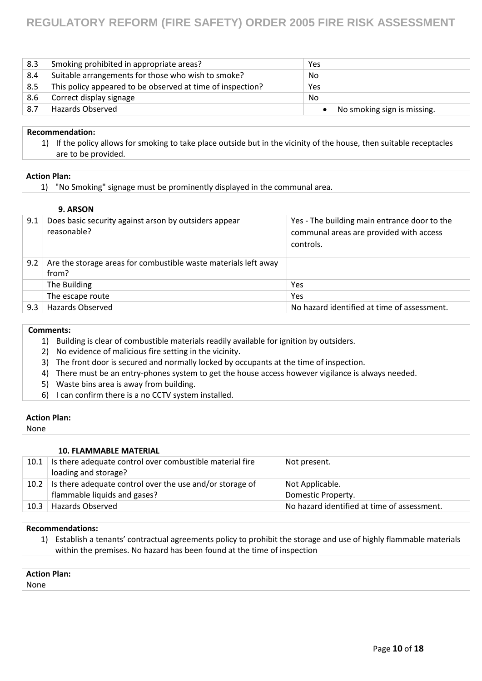| 8.3 | Smoking prohibited in appropriate areas?                   | Yes                         |
|-----|------------------------------------------------------------|-----------------------------|
| 8.4 | Suitable arrangements for those who wish to smoke?         | No.                         |
| 8.5 | This policy appeared to be observed at time of inspection? | Yes                         |
| 8.6 | Correct display signage                                    | N <sub>0</sub>              |
| 8.7 | Hazards Observed                                           | No smoking sign is missing. |

## **Recommendation:**

1) If the policy allows for smoking to take place outside but in the vicinity of the house, then suitable receptacles are to be provided.

#### **Action Plan:**

1) "No Smoking" signage must be prominently displayed in the communal area.

#### **9. ARSON**

| 9.1 | Does basic security against arson by outsiders appear<br>reasonable?     | Yes - The building main entrance door to the<br>communal areas are provided with access<br>controls. |
|-----|--------------------------------------------------------------------------|------------------------------------------------------------------------------------------------------|
| 9.2 | Are the storage areas for combustible waste materials left away<br>from? |                                                                                                      |
|     | The Building                                                             | Yes                                                                                                  |
|     | The escape route                                                         | Yes                                                                                                  |
| 9.3 | <b>Hazards Observed</b>                                                  | No hazard identified at time of assessment.                                                          |

#### **Comments:**

- 1) Building is clear of combustible materials readily available for ignition by outsiders.
- 2) No evidence of malicious fire setting in the vicinity.
- 3) The front door is secured and normally locked by occupants at the time of inspection.
- 4) There must be an entry-phones system to get the house access however vigilance is always needed.
- 5) Waste bins area is away from building.
- 6) I can confirm there is a no CCTV system installed.

| Dlant.<br>.<br>ʻian:<br>$\sim$ $\sim$ $\sim$ $\sim$ $\sim$ $\sim$ $\sim$ |  |
|--------------------------------------------------------------------------|--|
| None<br>___                                                              |  |

#### **10. FLAMMABLE MATERIAL**

| 10.1 | Is there adequate control over combustible material fire | Not present.                                |
|------|----------------------------------------------------------|---------------------------------------------|
|      | loading and storage?                                     |                                             |
| 10.2 | Is there adequate control over the use and/or storage of | Not Applicable.                             |
|      | flammable liquids and gases?                             | Domestic Property.                          |
| 10.3 | Hazards Observed                                         | No hazard identified at time of assessment. |

#### **Recommendations:**

1) Establish a tenants' contractual agreements policy to prohibit the storage and use of highly flammable materials within the premises. No hazard has been found at the time of inspection

| n Plan:<br>$\mathbf{A}$ . |  |
|---------------------------|--|
| None<br>.                 |  |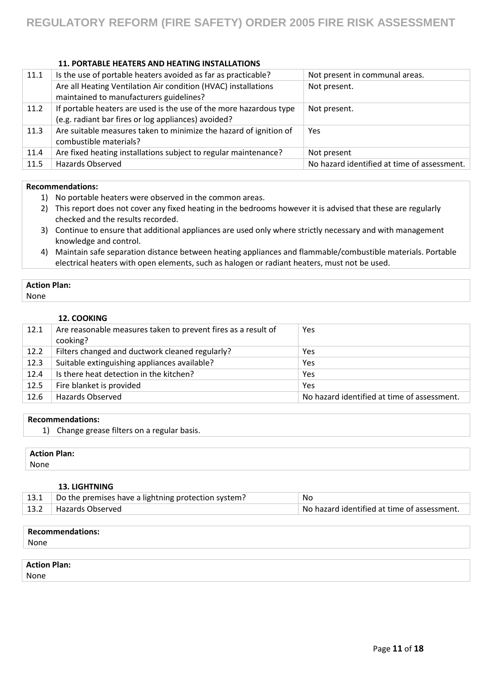## **11. PORTABLE HEATERS AND HEATING INSTALLATIONS**

| 11.1 | Is the use of portable heaters avoided as far as practicable?      | Not present in communal areas.              |
|------|--------------------------------------------------------------------|---------------------------------------------|
|      | Are all Heating Ventilation Air condition (HVAC) installations     | Not present.                                |
|      | maintained to manufacturers guidelines?                            |                                             |
| 11.2 | If portable heaters are used is the use of the more hazardous type | Not present.                                |
|      | (e.g. radiant bar fires or log appliances) avoided?                |                                             |
| 11.3 | Are suitable measures taken to minimize the hazard of ignition of  | Yes                                         |
|      | combustible materials?                                             |                                             |
| 11.4 | Are fixed heating installations subject to regular maintenance?    | Not present                                 |
| 11.5 | <b>Hazards Observed</b>                                            | No hazard identified at time of assessment. |
|      |                                                                    |                                             |

## **Recommendations:**

- 1) No portable heaters were observed in the common areas.
- 2) This report does not cover any fixed heating in the bedrooms however it is advised that these are regularly checked and the results recorded.
- 3) Continue to ensure that additional appliances are used only where strictly necessary and with management knowledge and control.
- 4) Maintain safe separation distance between heating appliances and flammable/combustible materials. Portable electrical heaters with open elements, such as halogen or radiant heaters, must not be used.

| <b>Action Plan:</b> |  |
|---------------------|--|
| None                |  |
|                     |  |

## **12. COOKING**

| 12.1 | Are reasonable measures taken to prevent fires as a result of<br>cooking? | <b>Yes</b>                                  |
|------|---------------------------------------------------------------------------|---------------------------------------------|
| 12.2 | Filters changed and ductwork cleaned regularly?                           | Yes                                         |
| 12.3 | Suitable extinguishing appliances available?                              | Yes                                         |
| 12.4 | Is there heat detection in the kitchen?                                   | Yes                                         |
| 12.5 | Fire blanket is provided                                                  | Yes                                         |
| 12.6 | Hazards Observed                                                          | No hazard identified at time of assessment. |

#### **Recommendations:**

1) Change grease filters on a regular basis.

## **Action Plan:**

None

## **13. LIGHTNING**

| 13.1 Do the premises have a lightning protection system? | No                                          |
|----------------------------------------------------------|---------------------------------------------|
| 13.2 Hazards Observed                                    | No hazard identified at time of assessment. |

| <b>Recommendations:</b> |  |
|-------------------------|--|
| None                    |  |
|                         |  |

# **Action Plan:**

None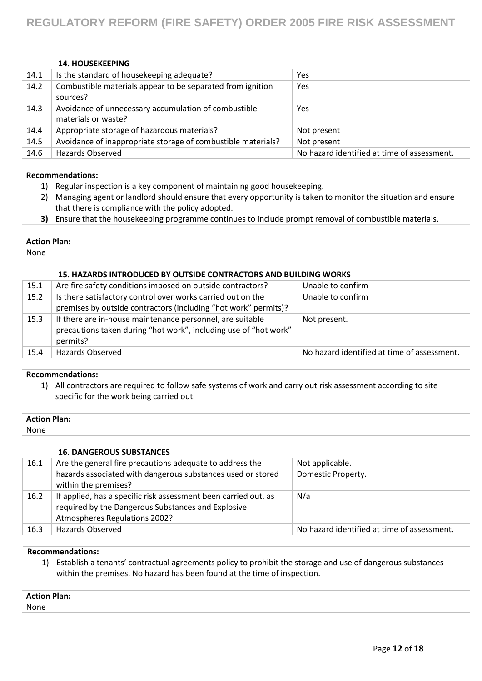|      | <b>14. HOUSEKEEPING</b>                                                     |                                             |
|------|-----------------------------------------------------------------------------|---------------------------------------------|
| 14.1 | Is the standard of housekeeping adequate?                                   | Yes                                         |
| 14.2 | Combustible materials appear to be separated from ignition<br>sources?      | Yes                                         |
| 14.3 | Avoidance of unnecessary accumulation of combustible<br>materials or waste? | Yes                                         |
| 14.4 | Appropriate storage of hazardous materials?                                 | Not present                                 |
| 14.5 | Avoidance of inappropriate storage of combustible materials?                | Not present                                 |
| 14.6 | <b>Hazards Observed</b>                                                     | No hazard identified at time of assessment. |

#### **Recommendations:**

- 1) Regular inspection is a key component of maintaining good housekeeping.
- 2) Managing agent or landlord should ensure that every opportunity is taken to monitor the situation and ensure that there is compliance with the policy adopted.
- **3)** Ensure that the housekeeping programme continues to include prompt removal of combustible materials.

| יוח olan!<br>. |  |
|----------------|--|
| None           |  |

#### **15. HAZARDS INTRODUCED BY OUTSIDE CONTRACTORS AND BUILDING WORKS**

| 15.1 | Are fire safety conditions imposed on outside contractors?                                                                                | Unable to confirm                           |
|------|-------------------------------------------------------------------------------------------------------------------------------------------|---------------------------------------------|
| 15.2 | Is there satisfactory control over works carried out on the<br>premises by outside contractors (including "hot work" permits)?            | Unable to confirm                           |
| 15.3 | If there are in-house maintenance personnel, are suitable<br>precautions taken during "hot work", including use of "hot work"<br>permits? | Not present.                                |
| 15.4 | <b>Hazards Observed</b>                                                                                                                   | No hazard identified at time of assessment. |
|      |                                                                                                                                           |                                             |

#### **Recommendations:**

**16. DANGEROUS SUBSTANCES**

1) All contractors are required to follow safe systems of work and carry out risk assessment according to site specific for the work being carried out.

| <b>Action Plan:</b> |  |  |  |
|---------------------|--|--|--|
| None                |  |  |  |
|                     |  |  |  |

|      | 10. DANJENOOJ JODJ I ANCEJ                                                                                                                             |                                             |
|------|--------------------------------------------------------------------------------------------------------------------------------------------------------|---------------------------------------------|
| 16.1 | Are the general fire precautions adequate to address the<br>hazards associated with dangerous substances used or stored<br>within the premises?        | Not applicable.<br>Domestic Property.       |
| 16.2 | If applied, has a specific risk assessment been carried out, as<br>required by the Dangerous Substances and Explosive<br>Atmospheres Regulations 2002? | N/a                                         |
| 16.3 | Hazards Observed                                                                                                                                       | No hazard identified at time of assessment. |
|      |                                                                                                                                                        |                                             |

#### **Recommendations:**

1) Establish a tenants' contractual agreements policy to prohibit the storage and use of dangerous substances within the premises. No hazard has been found at the time of inspection.

| <b>Action Plan:</b> |
|---------------------|
| None                |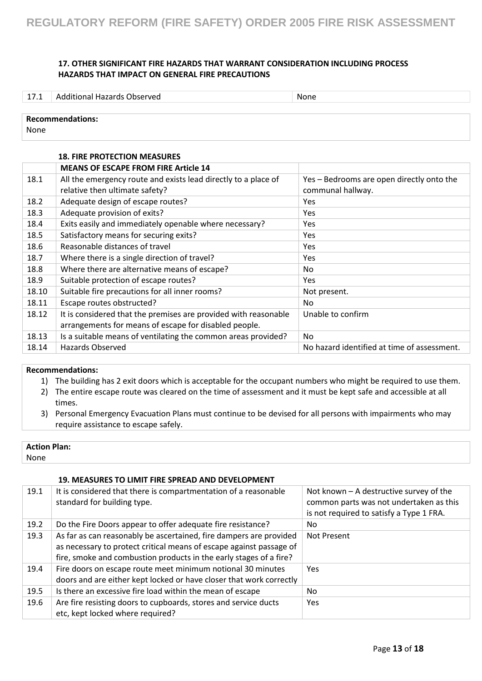## **17. OTHER SIGNIFICANT FIRE HAZARDS THAT WARRANT CONSIDERATION INCLUDING PROCESS HAZARDS THAT IMPACT ON GENERAL FIRE PRECAUTIONS**

| 17.1             | <b>Additional Hazards Observed</b> | None |  |
|------------------|------------------------------------|------|--|
|                  |                                    |      |  |
| Recommendations: |                                    |      |  |
| None             |                                    |      |  |

|       | <b>18. FIRE PROTECTION MEASURES</b>                             |                                             |
|-------|-----------------------------------------------------------------|---------------------------------------------|
|       | <b>MEANS OF ESCAPE FROM FIRE Article 14</b>                     |                                             |
| 18.1  | All the emergency route and exists lead directly to a place of  | Yes - Bedrooms are open directly onto the   |
|       | relative then ultimate safety?                                  | communal hallway.                           |
| 18.2  | Adequate design of escape routes?                               | Yes                                         |
| 18.3  | Adequate provision of exits?                                    | Yes                                         |
| 18.4  | Exits easily and immediately openable where necessary?          | Yes                                         |
| 18.5  | Satisfactory means for securing exits?                          | <b>Yes</b>                                  |
| 18.6  | Reasonable distances of travel                                  | <b>Yes</b>                                  |
| 18.7  | Where there is a single direction of travel?                    | <b>Yes</b>                                  |
| 18.8  | Where there are alternative means of escape?                    | No                                          |
| 18.9  | Suitable protection of escape routes?                           | Yes                                         |
| 18.10 | Suitable fire precautions for all inner rooms?                  | Not present.                                |
| 18.11 | Escape routes obstructed?                                       | No.                                         |
| 18.12 | It is considered that the premises are provided with reasonable | Unable to confirm                           |
|       | arrangements for means of escape for disabled people.           |                                             |
| 18.13 | Is a suitable means of ventilating the common areas provided?   | No.                                         |
| 18.14 | Hazards Observed                                                | No hazard identified at time of assessment. |

#### **Recommendations:**

- 1) The building has 2 exit doors which is acceptable for the occupant numbers who might be required to use them.
- 2) The entire escape route was cleared on the time of assessment and it must be kept safe and accessible at all times.
- 3) Personal Emergency Evacuation Plans must continue to be devised for all persons with impairments who may require assistance to escape safely.

| <b>Action Plan:</b> |  |
|---------------------|--|
| None                |  |
|                     |  |

## **19. MEASURES TO LIMIT FIRE SPREAD AND DEVELOPMENT**

| 19.1 | It is considered that there is compartmentation of a reasonable<br>standard for building type.                                                                                                                  | Not known - A destructive survey of the<br>common parts was not undertaken as this<br>is not required to satisfy a Type 1 FRA. |
|------|-----------------------------------------------------------------------------------------------------------------------------------------------------------------------------------------------------------------|--------------------------------------------------------------------------------------------------------------------------------|
| 19.2 | Do the Fire Doors appear to offer adequate fire resistance?                                                                                                                                                     | No                                                                                                                             |
| 19.3 | As far as can reasonably be ascertained, fire dampers are provided<br>as necessary to protect critical means of escape against passage of<br>fire, smoke and combustion products in the early stages of a fire? | Not Present                                                                                                                    |
| 19.4 | Fire doors on escape route meet minimum notional 30 minutes<br>doors and are either kept locked or have closer that work correctly                                                                              | Yes                                                                                                                            |
| 19.5 | Is there an excessive fire load within the mean of escape                                                                                                                                                       | No.                                                                                                                            |
| 19.6 | Are fire resisting doors to cupboards, stores and service ducts<br>etc, kept locked where required?                                                                                                             | <b>Yes</b>                                                                                                                     |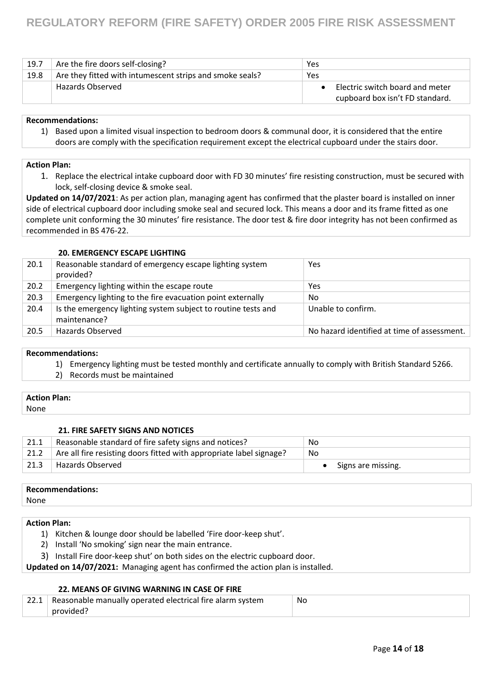| 19.7 | Are the fire doors self-closing?                         | Yes                                                                |
|------|----------------------------------------------------------|--------------------------------------------------------------------|
| 19.8 | Are they fitted with intumescent strips and smoke seals? | Yes                                                                |
|      | Hazards Observed                                         | Electric switch board and meter<br>cupboard box isn't FD standard. |

#### **Recommendations:**

1) Based upon a limited visual inspection to bedroom doors & communal door, it is considered that the entire doors are comply with the specification requirement except the electrical cupboard under the stairs door.

## **Action Plan:**

1. Replace the electrical intake cupboard door with FD 30 minutes' fire resisting construction, must be secured with lock, self-closing device & smoke seal.

**Updated on 14/07/2021**: As per action plan, managing agent has confirmed that the plaster board is installed on inner side of electrical cupboard door including smoke seal and secured lock. This means a door and its frame fitted as one complete unit conforming the 30 minutes' fire resistance. The door test & fire door integrity has not been confirmed as recommended in BS 476-22.

|      | ZU. EIVIERGEINCT ESCAPE LIGHTIING                                             |                                             |
|------|-------------------------------------------------------------------------------|---------------------------------------------|
| 20.1 | Reasonable standard of emergency escape lighting system<br>provided?          | Yes                                         |
| 20.2 | Emergency lighting within the escape route                                    | <b>Yes</b>                                  |
| 20.3 | Emergency lighting to the fire evacuation point externally                    | No                                          |
| 20.4 | Is the emergency lighting system subject to routine tests and<br>maintenance? | Unable to confirm.                          |
| 20.5 | Hazards Observed                                                              | No hazard identified at time of assessment. |
|      |                                                                               |                                             |

#### **Recommendations:**

- 1) Emergency lighting must be tested monthly and certificate annually to comply with British Standard 5266.
- 2) Records must be maintained

**20. EMERGENCY ESCAPE LIGHTING**

## **Action Plan:**

None

## **21. FIRE SAFETY SIGNS AND NOTICES**

| 21.1 | Reasonable standard of fire safety signs and notices?               | No                 |
|------|---------------------------------------------------------------------|--------------------|
| 21.2 | Are all fire resisting doors fitted with appropriate label signage? | No                 |
| 21.3 | Hazards Observed                                                    | Signs are missing. |

#### **Recommendations:**

None

#### **Action Plan:**

- 1) Kitchen & lounge door should be labelled 'Fire door-keep shut'.
- 2) Install 'No smoking' sign near the main entrance.
- 3) Install Fire door-keep shut' on both sides on the electric cupboard door.

**Updated on 14/07/2021:** Managing agent has confirmed the action plan is installed.

## **22. MEANS OF GIVING WARNING IN CASE OF FIRE**

| 22.1 Reasonable manually operated electrical fire alarm system | No |
|----------------------------------------------------------------|----|
| provided?                                                      |    |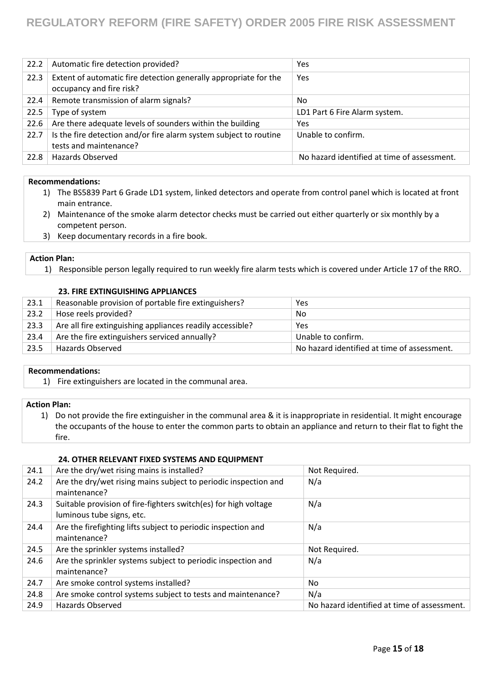| 22.2 | Automatic fire detection provided?                                                           | Yes                                         |
|------|----------------------------------------------------------------------------------------------|---------------------------------------------|
| 22.3 | Extent of automatic fire detection generally appropriate for the<br>occupancy and fire risk? | Yes                                         |
| 22.4 | Remote transmission of alarm signals?                                                        | No                                          |
| 22.5 | Type of system                                                                               | LD1 Part 6 Fire Alarm system.               |
| 22.6 | Are there adequate levels of sounders within the building                                    | Yes                                         |
| 22.7 | Is the fire detection and/or fire alarm system subject to routine<br>tests and maintenance?  | Unable to confirm.                          |
| 22.8 | Hazards Observed                                                                             | No hazard identified at time of assessment. |

#### **Recommendations:**

- 1) The BS5839 Part 6 Grade LD1 system, linked detectors and operate from control panel which is located at front main entrance.
- 2) Maintenance of the smoke alarm detector checks must be carried out either quarterly or six monthly by a competent person.
- 3) Keep documentary records in a fire book.

#### **Action Plan:**

1) Responsible person legally required to run weekly fire alarm tests which is covered under Article 17 of the RRO.

## **23. FIRE EXTINGUISHING APPLIANCES**

| 23.1 | Reasonable provision of portable fire extinguishers?      | Yes                                         |
|------|-----------------------------------------------------------|---------------------------------------------|
| 23.2 | Hose reels provided?                                      | N <sub>o</sub>                              |
| 23.3 | Are all fire extinguishing appliances readily accessible? | Yes                                         |
| 23.4 | Are the fire extinguishers serviced annually?             | Unable to confirm.                          |
| 23.5 | <b>Hazards Observed</b>                                   | No hazard identified at time of assessment. |

## **Recommendations:**

1) Fire extinguishers are located in the communal area.

## **Action Plan:**

1) Do not provide the fire extinguisher in the communal area & it is inappropriate in residential. It might encourage the occupants of the house to enter the common parts to obtain an appliance and return to their flat to fight the fire.

## **24. OTHER RELEVANT FIXED SYSTEMS AND EQUIPMENT**

| 24.1 | Are the dry/wet rising mains is installed?                                                   | Not Required.                               |
|------|----------------------------------------------------------------------------------------------|---------------------------------------------|
| 24.2 | Are the dry/wet rising mains subject to periodic inspection and<br>maintenance?              | N/a                                         |
| 24.3 | Suitable provision of fire-fighters switch(es) for high voltage<br>luminous tube signs, etc. | N/a                                         |
| 24.4 | Are the firefighting lifts subject to periodic inspection and<br>maintenance?                | N/a                                         |
| 24.5 | Are the sprinkler systems installed?                                                         | Not Required.                               |
| 24.6 | Are the sprinkler systems subject to periodic inspection and<br>maintenance?                 | N/a                                         |
| 24.7 | Are smoke control systems installed?                                                         | No.                                         |
| 24.8 | Are smoke control systems subject to tests and maintenance?                                  | N/a                                         |
| 24.9 | <b>Hazards Observed</b>                                                                      | No hazard identified at time of assessment. |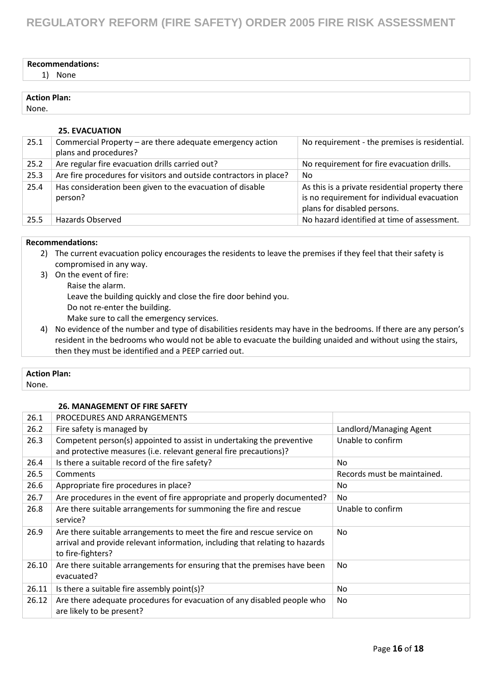| <b>Recommendations:</b> |      |  |
|-------------------------|------|--|
| <u>.</u>                | None |  |
|                         |      |  |
|                         |      |  |

# **Action Plan:**

None.

## **25. EVACUATION**

| 25.1 | Commercial Property – are there adequate emergency action<br>plans and procedures? | No requirement - the premises is residential.                                                                                 |
|------|------------------------------------------------------------------------------------|-------------------------------------------------------------------------------------------------------------------------------|
| 25.2 | Are regular fire evacuation drills carried out?                                    | No requirement for fire evacuation drills.                                                                                    |
| 25.3 | Are fire procedures for visitors and outside contractors in place?                 | No.                                                                                                                           |
| 25.4 | Has consideration been given to the evacuation of disable<br>person?               | As this is a private residential property there<br>is no requirement for individual evacuation<br>plans for disabled persons. |
| 25.5 | Hazards Observed                                                                   | No hazard identified at time of assessment.                                                                                   |

#### **Recommendations:**

- 2) The current evacuation policy encourages the residents to leave the premises if they feel that their safety is compromised in any way.
- 3) On the event of fire:

Raise the alarm.

- Leave the building quickly and close the fire door behind you.
- Do not re-enter the building.
- Make sure to call the emergency services.
- 4) No evidence of the number and type of disabilities residents may have in the bedrooms. If there are any person's resident in the bedrooms who would not be able to evacuate the building unaided and without using the stairs, then they must be identified and a PEEP carried out.

## **Action Plan:**

None.

## **26. MANAGEMENT OF FIRE SAFETY**

| 26.1  | PROCEDURES AND ARRANGEMENTS                                                  |                             |
|-------|------------------------------------------------------------------------------|-----------------------------|
| 26.2  | Fire safety is managed by                                                    | Landlord/Managing Agent     |
| 26.3  | Competent person(s) appointed to assist in undertaking the preventive        | Unable to confirm           |
|       | and protective measures (i.e. relevant general fire precautions)?            |                             |
| 26.4  | Is there a suitable record of the fire safety?                               | No.                         |
| 26.5  | Comments                                                                     | Records must be maintained. |
| 26.6  | Appropriate fire procedures in place?                                        | No.                         |
| 26.7  | Are procedures in the event of fire appropriate and properly documented?     | No.                         |
| 26.8  | Are there suitable arrangements for summoning the fire and rescue            | Unable to confirm           |
|       | service?                                                                     |                             |
| 26.9  | Are there suitable arrangements to meet the fire and rescue service on       | No.                         |
|       | arrival and provide relevant information, including that relating to hazards |                             |
|       | to fire-fighters?                                                            |                             |
| 26.10 | Are there suitable arrangements for ensuring that the premises have been     | No.                         |
|       | evacuated?                                                                   |                             |
| 26.11 | Is there a suitable fire assembly point(s)?                                  | No.                         |
| 26.12 | Are there adequate procedures for evacuation of any disabled people who      | No.                         |
|       | are likely to be present?                                                    |                             |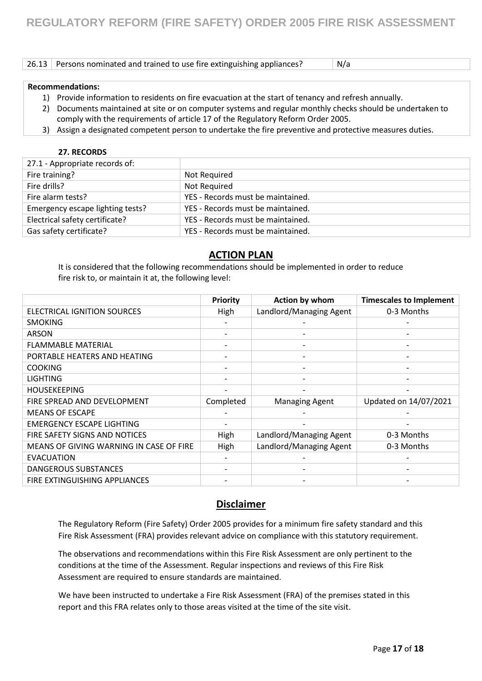26.13 Persons nominated and trained to use fire extinguishing appliances? N/a

## **Recommendations:**

- 1) Provide information to residents on fire evacuation at the start of tenancy and refresh annually.
- 2) Documents maintained at site or on computer systems and regular monthly checks should be undertaken to comply with the requirements of article 17 of the Regulatory Reform Order 2005.
- 3) Assign a designated competent person to undertake the fire preventive and protective measures duties.

#### **27. RECORDS**

| 27.1 - Appropriate records of:   |                                   |
|----------------------------------|-----------------------------------|
| Fire training?                   | Not Required                      |
| Fire drills?                     | Not Required                      |
| Fire alarm tests?                | YES - Records must be maintained. |
| Emergency escape lighting tests? | YES - Records must be maintained. |
| Electrical safety certificate?   | YES - Records must be maintained. |
| Gas safety certificate?          | YES - Records must be maintained. |

## **ACTION PLAN**

It is considered that the following recommendations should be implemented in order to reduce fire risk to, or maintain it at, the following level:

|                                         | <b>Priority</b>          | <b>Action by whom</b>   | <b>Timescales to Implement</b> |
|-----------------------------------------|--------------------------|-------------------------|--------------------------------|
| ELECTRICAL IGNITION SOURCES             | High                     | Landlord/Managing Agent | 0-3 Months                     |
| <b>SMOKING</b>                          |                          |                         |                                |
| <b>ARSON</b>                            |                          |                         |                                |
| <b>FLAMMABLE MATERIAL</b>               |                          |                         |                                |
| PORTABLE HEATERS AND HEATING            |                          |                         |                                |
| <b>COOKING</b>                          |                          |                         |                                |
| <b>LIGHTING</b>                         | $\overline{\phantom{a}}$ |                         |                                |
| <b>HOUSEKEEPING</b>                     |                          |                         |                                |
| FIRE SPREAD AND DEVELOPMENT             | Completed                | <b>Managing Agent</b>   | Updated on 14/07/2021          |
| <b>MEANS OF ESCAPE</b>                  |                          |                         |                                |
| <b>EMERGENCY ESCAPE LIGHTING</b>        |                          |                         |                                |
| FIRE SAFETY SIGNS AND NOTICES           | High                     | Landlord/Managing Agent | 0-3 Months                     |
| MEANS OF GIVING WARNING IN CASE OF FIRE | High                     | Landlord/Managing Agent | 0-3 Months                     |
| <b>EVACUATION</b>                       |                          |                         |                                |
| <b>DANGEROUS SUBSTANCES</b>             |                          |                         |                                |
| FIRE EXTINGUISHING APPLIANCES           |                          |                         |                                |

## **Disclaimer**

The Regulatory Reform (Fire Safety) Order 2005 provides for a minimum fire safety standard and this Fire Risk Assessment (FRA) provides relevant advice on compliance with this statutory requirement.

The observations and recommendations within this Fire Risk Assessment are only pertinent to the conditions at the time of the Assessment. Regular inspections and reviews of this Fire Risk Assessment are required to ensure standards are maintained.

We have been instructed to undertake a Fire Risk Assessment (FRA) of the premises stated in this report and this FRA relates only to those areas visited at the time of the site visit.